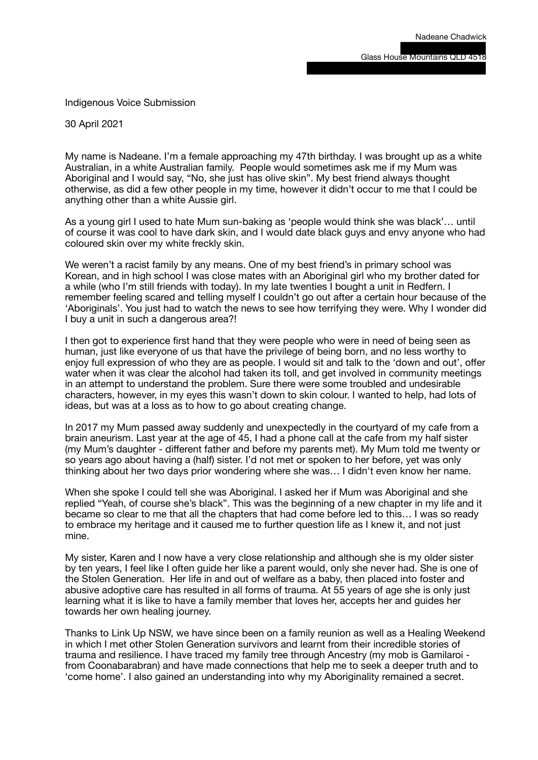Indigenous Voice Submission

30 April 2021

My name is Nadeane. I'm a female approaching my 47th birthday. I was brought up as a white Australian, in a white Australian family. People would sometimes ask me if my Mum was Aboriginal and I would say, "No, she just has olive skin". My best friend always thought otherwise, as did a few other people in my time, however it didn't occur to me that I could be anything other than a white Aussie girl.

As a young girl I used to hate Mum sun-baking as 'people would think she was black'… until of course it was cool to have dark skin, and I would date black guys and envy anyone who had coloured skin over my white freckly skin.

We weren't a racist family by any means. One of my best friend's in primary school was Korean, and in high school I was close mates with an Aboriginal girl who my brother dated for a while (who I'm still friends with today). In my late twenties I bought a unit in Redfern. I remember feeling scared and telling myself I couldn't go out after a certain hour because of the 'Aboriginals'. You just had to watch the news to see how terrifying they were. Why I wonder did I buy a unit in such a dangerous area?!

I then got to experience first hand that they were people who were in need of being seen as human, just like everyone of us that have the privilege of being born, and no less worthy to enjoy full expression of who they are as people. I would sit and talk to the 'down and out', offer water when it was clear the alcohol had taken its toll, and get involved in community meetings in an attempt to understand the problem. Sure there were some troubled and undesirable characters, however, in my eyes this wasn't down to skin colour. I wanted to help, had lots of ideas, but was at a loss as to how to go about creating change.

In 2017 my Mum passed away suddenly and unexpectedly in the courtyard of my cafe from a brain aneurism. Last year at the age of 45, I had a phone call at the cafe from my half sister (my Mum's daughter - different father and before my parents met). My Mum told me twenty or so years ago about having a (half) sister. I'd not met or spoken to her before, yet was only thinking about her two days prior wondering where she was… I didn't even know her name.

When she spoke I could tell she was Aboriginal. I asked her if Mum was Aboriginal and she replied "Yeah, of course she's black". This was the beginning of a new chapter in my life and it became so clear to me that all the chapters that had come before led to this… I was so ready to embrace my heritage and it caused me to further question life as I knew it, and not just mine.

My sister, Karen and I now have a very close relationship and although she is my older sister by ten years, I feel like I often guide her like a parent would, only she never had. She is one of the Stolen Generation. Her life in and out of welfare as a baby, then placed into foster and abusive adoptive care has resulted in all forms of trauma. At 55 years of age she is only just learning what it is like to have a family member that loves her, accepts her and guides her towards her own healing journey.

Thanks to Link Up NSW, we have since been on a family reunion as well as a Healing Weekend in which I met other Stolen Generation survivors and learnt from their incredible stories of trauma and resilience. I have traced my family tree through Ancestry (my mob is Gamilaroi from Coonabarabran) and have made connections that help me to seek a deeper truth and to 'come home'. I also gained an understanding into why my Aboriginality remained a secret.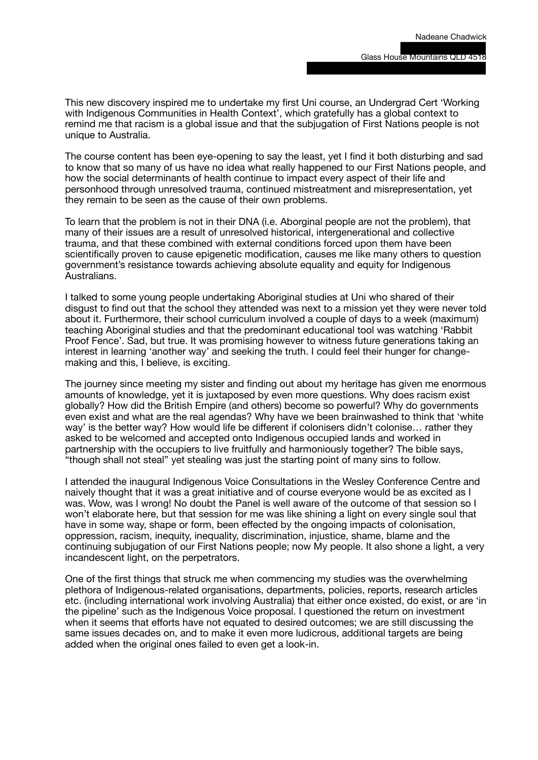This new discovery inspired me to undertake my first Uni course, an Undergrad Cert 'Working with Indigenous Communities in Health Context', which gratefully has a global context to remind me that racism is a global issue and that the subjugation of First Nations people is not unique to Australia.

The course content has been eye-opening to say the least, yet I find it both disturbing and sad to know that so many of us have no idea what really happened to our First Nations people, and how the social determinants of health continue to impact every aspect of their life and personhood through unresolved trauma, continued mistreatment and misrepresentation, yet they remain to be seen as the cause of their own problems.

To learn that the problem is not in their DNA (i.e. Aborginal people are not the problem), that many of their issues are a result of unresolved historical, intergenerational and collective trauma, and that these combined with external conditions forced upon them have been scientifically proven to cause epigenetic modification, causes me like many others to question government's resistance towards achieving absolute equality and equity for Indigenous Australians.

I talked to some young people undertaking Aboriginal studies at Uni who shared of their disgust to find out that the school they attended was next to a mission yet they were never told about it. Furthermore, their school curriculum involved a couple of days to a week (maximum) teaching Aboriginal studies and that the predominant educational tool was watching 'Rabbit Proof Fence'. Sad, but true. It was promising however to witness future generations taking an interest in learning 'another way' and seeking the truth. I could feel their hunger for changemaking and this, I believe, is exciting.

The journey since meeting my sister and finding out about my heritage has given me enormous amounts of knowledge, yet it is juxtaposed by even more questions. Why does racism exist globally? How did the British Empire (and others) become so powerful? Why do governments even exist and what are the real agendas? Why have we been brainwashed to think that 'white way' is the better way? How would life be different if colonisers didn't colonise... rather they asked to be welcomed and accepted onto Indigenous occupied lands and worked in partnership with the occupiers to live fruitfully and harmoniously together? The bible says, "though shall not steal" yet stealing was just the starting point of many sins to follow.

I attended the inaugural Indigenous Voice Consultations in the Wesley Conference Centre and naively thought that it was a great initiative and of course everyone would be as excited as I was. Wow, was I wrong! No doubt the Panel is well aware of the outcome of that session so I won't elaborate here, but that session for me was like shining a light on every single soul that have in some way, shape or form, been effected by the ongoing impacts of colonisation, oppression, racism, inequity, inequality, discrimination, injustice, shame, blame and the continuing subjugation of our First Nations people; now My people. It also shone a light, a very incandescent light, on the perpetrators.

One of the first things that struck me when commencing my studies was the overwhelming plethora of Indigenous-related organisations, departments, policies, reports, research articles etc. (including international work involving Australia) that either once existed, do exist, or are 'in the pipeline' such as the Indigenous Voice proposal. I questioned the return on investment when it seems that efforts have not equated to desired outcomes; we are still discussing the same issues decades on, and to make it even more ludicrous, additional targets are being added when the original ones failed to even get a look-in.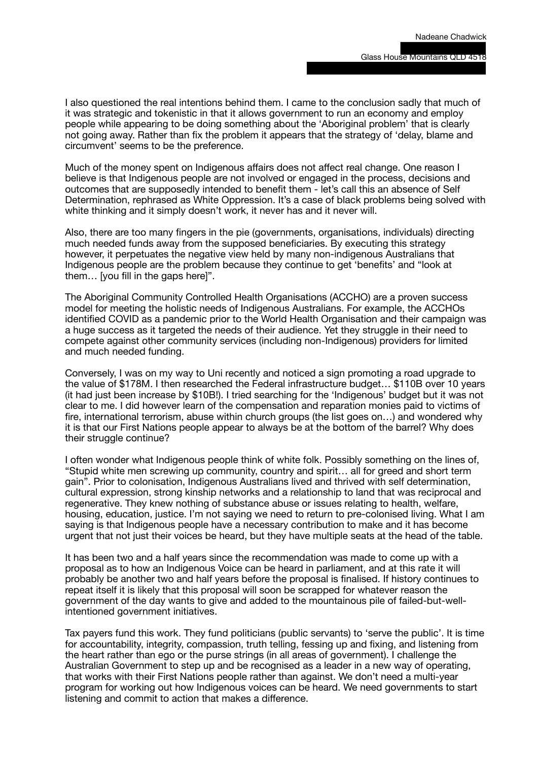I also questioned the real intentions behind them. I came to the conclusion sadly that much of it was strategic and tokenistic in that it allows government to run an economy and employ people while appearing to be doing something about the 'Aboriginal problem' that is clearly not going away. Rather than fix the problem it appears that the strategy of 'delay, blame and circumvent' seems to be the preference.

Much of the money spent on Indigenous affairs does not affect real change. One reason I believe is that Indigenous people are not involved or engaged in the process, decisions and outcomes that are supposedly intended to benefit them - let's call this an absence of Self Determination, rephrased as White Oppression. It's a case of black problems being solved with white thinking and it simply doesn't work, it never has and it never will.

Also, there are too many fingers in the pie (governments, organisations, individuals) directing much needed funds away from the supposed beneficiaries. By executing this strategy however, it perpetuates the negative view held by many non-indigenous Australians that Indigenous people are the problem because they continue to get 'benefits' and "look at them… [you fill in the gaps here]".

The Aboriginal Community Controlled Health Organisations (ACCHO) are a proven success model for meeting the holistic needs of Indigenous Australians. For example, the ACCHOs identified COVID as a pandemic prior to the World Health Organisation and their campaign was a huge success as it targeted the needs of their audience. Yet they struggle in their need to compete against other community services (including non-Indigenous) providers for limited and much needed funding.

Conversely, I was on my way to Uni recently and noticed a sign promoting a road upgrade to the value of \$178M. I then researched the Federal infrastructure budget… \$110B over 10 years (it had just been increase by \$10B!). I tried searching for the 'Indigenous' budget but it was not clear to me. I did however learn of the compensation and reparation monies paid to victims of fire, international terrorism, abuse within church groups (the list goes on…) and wondered why it is that our First Nations people appear to always be at the bottom of the barrel? Why does their struggle continue?

I often wonder what Indigenous people think of white folk. Possibly something on the lines of, "Stupid white men screwing up community, country and spirit… all for greed and short term gain". Prior to colonisation, Indigenous Australians lived and thrived with self determination, cultural expression, strong kinship networks and a relationship to land that was reciprocal and regenerative. They knew nothing of substance abuse or issues relating to health, welfare, housing, education, justice. I'm not saying we need to return to pre-colonised living. What I am saying is that Indigenous people have a necessary contribution to make and it has become urgent that not just their voices be heard, but they have multiple seats at the head of the table.

It has been two and a half years since the recommendation was made to come up with a proposal as to how an Indigenous Voice can be heard in parliament, and at this rate it will probably be another two and half years before the proposal is finalised. If history continues to repeat itself it is likely that this proposal will soon be scrapped for whatever reason the government of the day wants to give and added to the mountainous pile of failed-but-wellintentioned government initiatives.

Tax payers fund this work. They fund politicians (public servants) to 'serve the public'. It is time for accountability, integrity, compassion, truth telling, fessing up and fixing, and listening from the heart rather than ego or the purse strings (in all areas of government). I challenge the Australian Government to step up and be recognised as a leader in a new way of operating, that works with their First Nations people rather than against. We don't need a multi-year program for working out how Indigenous voices can be heard. We need governments to start listening and commit to action that makes a difference.